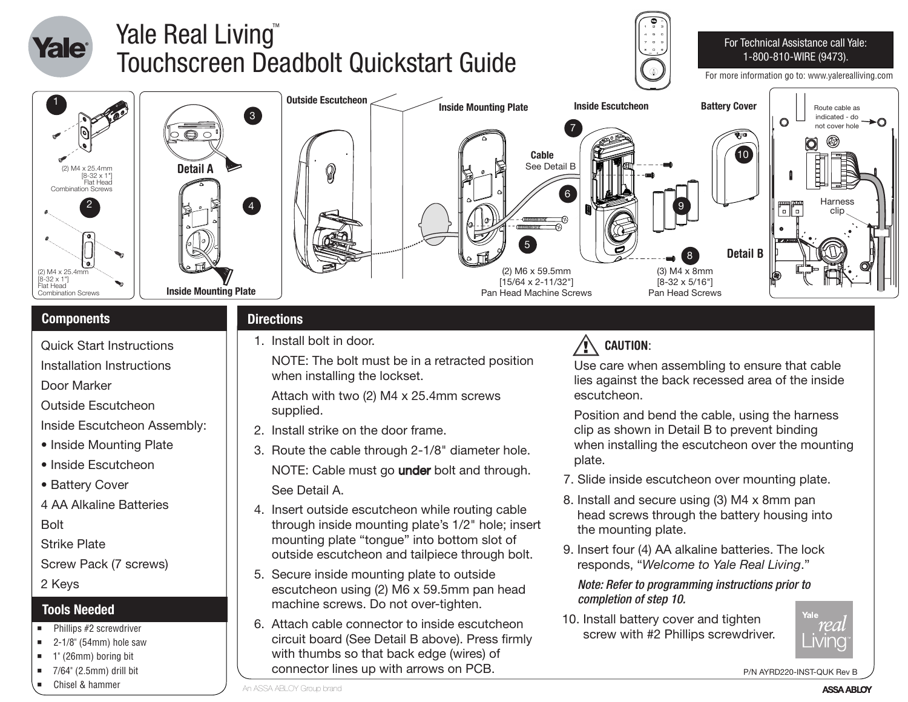

- Quick Start Instructions
- Installation Instructions
- Door Marker
- Outside Escutcheon
- Inside Escutcheon Assembly:
- Inside Mounting Plate
- Inside Escutcheon
- Battery Cover
- 4 AA Alkaline Batteries

Bolt

Strike Plate

Screw Pack (7 screws)

2 Keys

#### **Tools Needed**

- $\blacksquare$  Phillips #2 screwdriver
- $\blacksquare$  2-1/8" (54mm) hole saw
- $\blacksquare$  1" (26mm) boring bit
- $\blacksquare$  7/64" (2.5mm) drill bit
- Chisel & hammer

### 1. Install bolt in door.

 NOTE: The bolt must be in a retracted position when installing the lockset.

 Attach with two (2) M4 x 25.4mm screws supplied.

- 2. Install strike on the door frame.
- 3. Route the cable through 2-1/8" diameter hole. NOTE: Cable must go under bolt and through. See Detail A.
- 4. Insert outside escutcheon while routing cable through inside mounting plate's 1/2" hole; insert mounting plate "tongue" into bottom slot of outside escutcheon and tailpiece through bolt.
- 5. Secure inside mounting plate to outside escutcheon using (2) M6 x 59.5mm pan head machine screws. Do not over-tighten.
- 6. Attach cable connector to inside escutcheon circuit board (See Detail B above). Press firmly with thumbs so that back edge (wires) of connector lines up with arrows on PCB.

## **CAUTION**:

 Use care when assembling to ensure that cable lies against the back recessed area of the inside escutcheon.

 Position and bend the cable, using the harness clip as shown in Detail B to prevent binding when installing the escutcheon over the mounting plate.

- 7. Slide inside escutcheon over mounting plate.
- 8. Install and secure using (3) M4 x 8mm pan head screws through the battery housing into the mounting plate.
- 9. Insert four (4) AA alkaline batteries. The lock responds, "*Welcome to Yale Real Living*."

 *Note: Refer to programming instructions prior to completion of step 10.*

10. Install battery cover and tighten screw with #2 Phillips screwdriver.



P/N AYRD220-INST-QUK Rev B